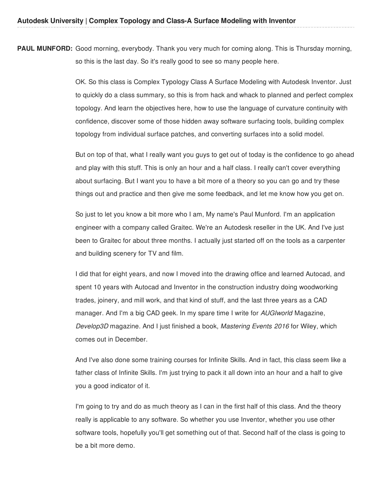**PAUL MUNFORD:** Good morning, everybody. Thank you very much for coming along. This is Thursday morning, so this is the last day. So it's really good to see so many people here.

> OK. So this class is Complex Typology Class A Surface Modeling with Autodesk Inventor. Just to quickly do a class summary, so this is from hack and whack to planned and perfect complex topology. And learn the objectives here, how to use the language of curvature continuity with confidence, discover some of those hidden away software surfacing tools, building complex topology from individual surface patches, and converting surfaces into a solid model.

> But on top of that, what I really want you guys to get out of today is the confidence to go ahead and play with this stuff. This is only an hour and a half class. I really can't cover everything about surfacing. But I want you to have a bit more of a theory so you can go and try these things out and practice and then give me some feedback, and let me know how you get on.

So just to let you know a bit more who I am, My name's Paul Munford. I'm an application engineer with a company called Graitec. We're an Autodesk reseller in the UK. And I've just been to Graitec for about three months. I actually just started off on the tools as a carpenter and building scenery for TV and film.

I did that for eight years, and now I moved into the drawing office and learned Autocad, and spent 10 years with Autocad and Inventor in the construction industry doing woodworking trades, joinery, and mill work, and that kind of stuff, and the last three years as a CAD manager. And I'm a big CAD geek. In my spare time I write for *AUGIworld* Magazine, *Develop3D* magazine. And I just finished a book, *Mastering Events 2016* for Wiley, which comes out in December.

And I've also done some training courses for Infinite Skills. And in fact, this class seem like a father class of Infinite Skills. I'm just trying to pack it all down into an hour and a half to give you a good indicator of it.

I'm going to try and do as much theory as I can in the first half of this class. And the theory really is applicable to any software. So whether you use Inventor, whether you use other software tools, hopefully you'll get something out of that. Second half of the class is going to be a bit more demo.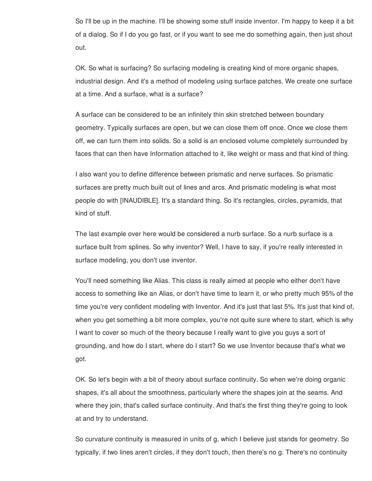So I'll be up in the machine. I'll be showing some stuff inside inventor. I'm happy to keep it a bit of a dialog. So if I do you go fast, or if you want to see me do something again, then just shout out.

OK. So what is surfacing? So surfacing modeling is creating kind of more organic shapes, industrial design. And it's a method of modeling using surface patches. We create one surface at a time. And a surface, what is a surface?

A surface can be considered to be an infinitely thin skin stretched between boundary geometry. Typically surfaces are open, but we can close them off once. Once we close them off, we can turn them into solids. So a solid is an enclosed volume completely surrounded by faces that can then have Information attached to it, like weight or mass and that kind of thing.

I also want you to define difference between prismatic and nerve surfaces. So prismatic surfaces are pretty much built out of lines and arcs. And prismatic modeling is what most people do with [INAUDIBLE]. It's a standard thing. So it's rectangles, circles, pyramids, that kind of stuff.

The last example over here would be considered a nurb surface. So a nurb surface is a surface built from splines. So why inventor? Well, I have to say, if you're really interested in surface modeling, you don't use inventor.

You'll need something like Alias. This class is really aimed at people who either don't have access to something like an Alias, or don't have time to learn it, or who pretty much 95% of the time you're very confident modeling with Inventor. And it's just that last 5%. It's just that kind of, when you get something a bit more complex, you're not quite sure where to start, which is why I want to cover so much of the theory because I really want to give you guys a sort of grounding, and how do I start, where do I start? So we use Inventor because that's what we got.

OK. So let's begin with a bit of theory about surface continuity. So when we're doing organic shapes, it's all about the smoothness, particularly where the shapes join at the seams. And where they join, that's called surface continuity. And that's the first thing they're going to look at and try to understand.

So curvature continuity is measured in units of g, which I believe just stands for geometry. So typically, if two lines aren't circles, if they don't touch, then there's no g. There's no continuity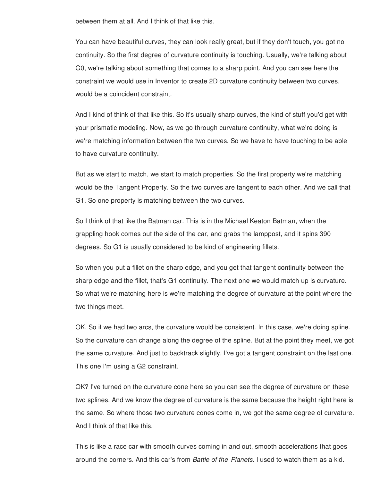between them at all. And I think of that like this.

You can have beautiful curves, they can look really great, but if they don't touch, you got no continuity. So the first degree of curvature continuity is touching. Usually, we're talking about G0, we're talking about something that comes to a sharp point. And you can see here the constraint we would use in Inventor to create 2D curvature continuity between two curves, would be a coincident constraint.

And I kind of think of that like this. So it's usually sharp curves, the kind of stuff you'd get with your prismatic modeling. Now, as we go through curvature continuity, what we're doing is we're matching information between the two curves. So we have to have touching to be able to have curvature continuity.

But as we start to match, we start to match properties. So the first property we're matching would be the Tangent Property. So the two curves are tangent to each other. And we call that G1. So one property is matching between the two curves.

So I think of that like the Batman car. This is in the Michael Keaton Batman, when the grappling hook comes out the side of the car, and grabs the lamppost, and it spins 390 degrees. So G1 is usually considered to be kind of engineering fillets.

So when you put a fillet on the sharp edge, and you get that tangent continuity between the sharp edge and the fillet, that's G1 continuity. The next one we would match up is curvature. So what we're matching here is we're matching the degree of curvature at the point where the two things meet.

OK. So if we had two arcs, the curvature would be consistent. In this case, we're doing spline. So the curvature can change along the degree of the spline. But at the point they meet, we got the same curvature. And just to backtrack slightly, I've got a tangent constraint on the last one. This one I'm using a G2 constraint.

OK? I've turned on the curvature cone here so you can see the degree of curvature on these two splines. And we know the degree of curvature is the same because the height right here is the same. So where those two curvature cones come in, we got the same degree of curvature. And I think of that like this.

This is like a race car with smooth curves coming in and out, smooth accelerations that goes around the corners. And this car's from *Battle of the Planets*. I used to watch them as a kid.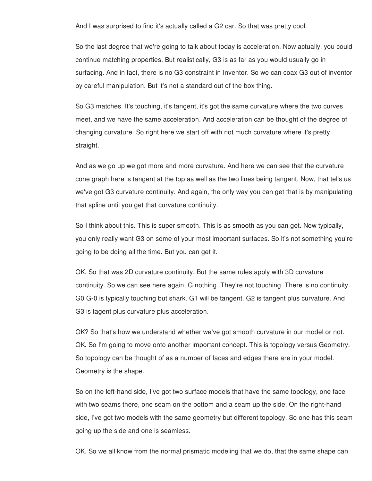And I was surprised to find it's actually called a G2 car. So that was pretty cool.

So the last degree that we're going to talk about today is acceleration. Now actually, you could continue matching properties. But realistically, G3 is as far as you would usually go in surfacing. And in fact, there is no G3 constraint in Inventor. So we can coax G3 out of inventor by careful manipulation. But it's not a standard out of the box thing.

So G3 matches. It's touching, it's tangent, it's got the same curvature where the two curves meet, and we have the same acceleration. And acceleration can be thought of the degree of changing curvature. So right here we start off with not much curvature where it's pretty straight.

And as we go up we got more and more curvature. And here we can see that the curvature cone graph here is tangent at the top as well as the two lines being tangent. Now, that tells us we've got G3 curvature continuity. And again, the only way you can get that is by manipulating that spline until you get that curvature continuity.

So I think about this. This is super smooth. This is as smooth as you can get. Now typically, you only really want G3 on some of your most important surfaces. So it's not something you're going to be doing all the time. But you can get it.

OK. So that was 2D curvature continuity. But the same rules apply with 3D curvature continuity. So we can see here again, G nothing. They're not touching. There is no continuity. G0 G-0 is typically touching but shark. G1 will be tangent. G2 is tangent plus curvature. And G3 is tagent plus curvature plus acceleration.

OK? So that's how we understand whether we've got smooth curvature in our model or not. OK. So I'm going to move onto another important concept. This is topology versus Geometry. So topology can be thought of as a number of faces and edges there are in your model. Geometry is the shape.

So on the left-hand side, I've got two surface models that have the same topology, one face with two seams there, one seam on the bottom and a seam up the side. On the right-hand side, I've got two models with the same geometry but different topology. So one has this seam going up the side and one is seamless.

OK. So we all know from the normal prismatic modeling that we do, that the same shape can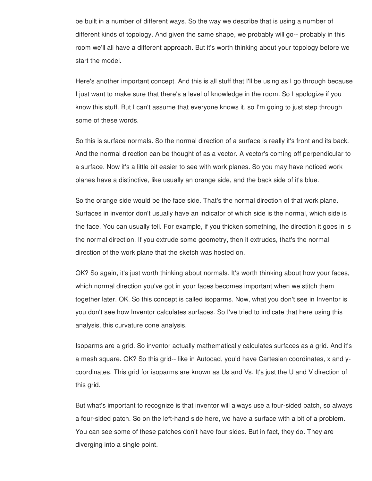be built in a number of different ways. So the way we describe that is using a number of different kinds of topology. And given the same shape, we probably will go-- probably in this room we'll all have a different approach. But it's worth thinking about your topology before we start the model.

Here's another important concept. And this is all stuff that I'll be using as I go through because I just want to make sure that there's a level of knowledge in the room. So I apologize if you know this stuff. But I can't assume that everyone knows it, so I'm going to just step through some of these words.

So this is surface normals. So the normal direction of a surface is really it's front and its back. And the normal direction can be thought of as a vector. A vector's coming off perpendicular to a surface. Now it's a little bit easier to see with work planes. So you may have noticed work planes have a distinctive, like usually an orange side, and the back side of it's blue.

So the orange side would be the face side. That's the normal direction of that work plane. Surfaces in inventor don't usually have an indicator of which side is the normal, which side is the face. You can usually tell. For example, if you thicken something, the direction it goes in is the normal direction. If you extrude some geometry, then it extrudes, that's the normal direction of the work plane that the sketch was hosted on.

OK? So again, it's just worth thinking about normals. It's worth thinking about how your faces, which normal direction you've got in your faces becomes important when we stitch them together later. OK. So this concept is called isoparms. Now, what you don't see in Inventor is you don't see how Inventor calculates surfaces. So I've tried to indicate that here using this analysis, this curvature cone analysis.

Isoparms are a grid. So inventor actually mathematically calculates surfaces as a grid. And it's a mesh square. OK? So this grid-- like in Autocad, you'd have Cartesian coordinates, x and ycoordinates. This grid for isoparms are known as Us and Vs. It's just the U and V direction of this grid.

But what's important to recognize is that inventor will always use a four-sided patch, so always a four-sided patch. So on the left-hand side here, we have a surface with a bit of a problem. You can see some of these patches don't have four sides. But in fact, they do. They are diverging into a single point.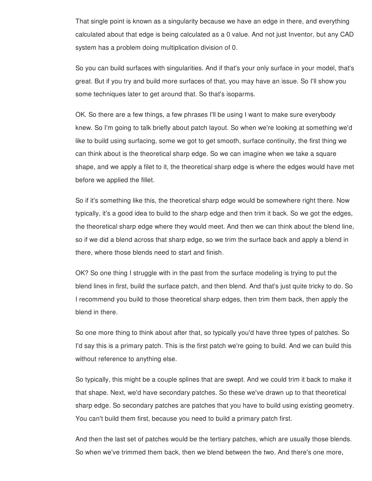That single point is known as a singularity because we have an edge in there, and everything calculated about that edge is being calculated as a 0 value. And not just Inventor, but any CAD system has a problem doing multiplication division of 0.

So you can build surfaces with singularities. And if that's your only surface in your model, that's great. But if you try and build more surfaces of that, you may have an issue. So I'll show you some techniques later to get around that. So that's isoparms.

OK. So there are a few things, a few phrases I'll be using I want to make sure everybody knew. So I'm going to talk briefly about patch layout. So when we're looking at something we'd like to build using surfacing, some we got to get smooth, surface continuity, the first thing we can think about is the theoretical sharp edge. So we can imagine when we take a square shape, and we apply a filet to it, the theoretical sharp edge is where the edges would have met before we applied the fillet.

So if it's something like this, the theoretical sharp edge would be somewhere right there. Now typically, it's a good idea to build to the sharp edge and then trim it back. So we got the edges, the theoretical sharp edge where they would meet. And then we can think about the blend line, so if we did a blend across that sharp edge, so we trim the surface back and apply a blend in there, where those blends need to start and finish.

OK? So one thing I struggle with in the past from the surface modeling is trying to put the blend lines in first, build the surface patch, and then blend. And that's just quite tricky to do. So I recommend you build to those theoretical sharp edges, then trim them back, then apply the blend in there.

So one more thing to think about after that, so typically you'd have three types of patches. So I'd say this is a primary patch. This is the first patch we're going to build. And we can build this without reference to anything else.

So typically, this might be a couple splines that are swept. And we could trim it back to make it that shape. Next, we'd have secondary patches. So these we've drawn up to that theoretical sharp edge. So secondary patches are patches that you have to build using existing geometry. You can't build them first, because you need to build a primary patch first.

And then the last set of patches would be the tertiary patches, which are usually those blends. So when we've trimmed them back, then we blend between the two. And there's one more,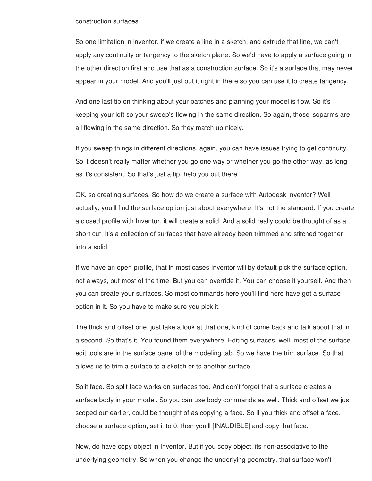construction surfaces.

So one limitation in inventor, if we create a line in a sketch, and extrude that line, we can't apply any continuity or tangency to the sketch plane. So we'd have to apply a surface going in the other direction first and use that as a construction surface. So it's a surface that may never appear in your model. And you'll just put it right in there so you can use it to create tangency.

And one last tip on thinking about your patches and planning your model is flow. So it's keeping your loft so your sweep's flowing in the same direction. So again, those isoparms are all flowing in the same direction. So they match up nicely.

If you sweep things in different directions, again, you can have issues trying to get continuity. So it doesn't really matter whether you go one way or whether you go the other way, as long as it's consistent. So that's just a tip, help you out there.

OK, so creating surfaces. So how do we create a surface with Autodesk Inventor? Well actually, you'll find the surface option just about everywhere. It's not the standard. If you create a closed profile with Inventor, it will create a solid. And a solid really could be thought of as a short cut. It's a collection of surfaces that have already been trimmed and stitched together into a solid.

If we have an open profile, that in most cases Inventor will by default pick the surface option, not always, but most of the time. But you can override it. You can choose it yourself. And then you can create your surfaces. So most commands here you'll find here have got a surface option in it. So you have to make sure you pick it.

The thick and offset one, just take a look at that one, kind of come back and talk about that in a second. So that's it. You found them everywhere. Editing surfaces, well, most of the surface edit tools are in the surface panel of the modeling tab. So we have the trim surface. So that allows us to trim a surface to a sketch or to another surface.

Split face. So split face works on surfaces too. And don't forget that a surface creates a surface body in your model. So you can use body commands as well. Thick and offset we just scoped out earlier, could be thought of as copying a face. So if you thick and offset a face, choose a surface option, set it to 0, then you'll [INAUDIBLE] and copy that face.

Now, do have copy object in Inventor. But if you copy object, its non-associative to the underlying geometry. So when you change the underlying geometry, that surface won't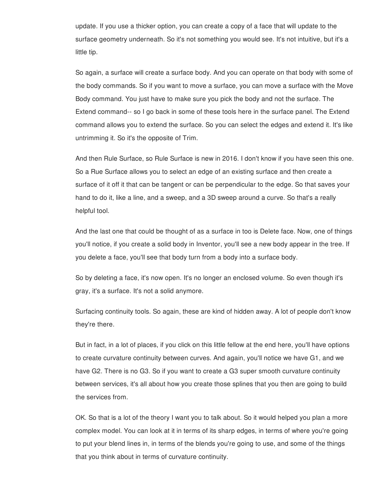update. If you use a thicker option, you can create a copy of a face that will update to the surface geometry underneath. So it's not something you would see. It's not intuitive, but it's a little tip.

So again, a surface will create a surface body. And you can operate on that body with some of the body commands. So if you want to move a surface, you can move a surface with the Move Body command. You just have to make sure you pick the body and not the surface. The Extend command-- so I go back in some of these tools here in the surface panel. The Extend command allows you to extend the surface. So you can select the edges and extend it. It's like untrimming it. So it's the opposite of Trim.

And then Rule Surface, so Rule Surface is new in 2016. I don't know if you have seen this one. So a Rue Surface allows you to select an edge of an existing surface and then create a surface of it off it that can be tangent or can be perpendicular to the edge. So that saves your hand to do it, like a line, and a sweep, and a 3D sweep around a curve. So that's a really helpful tool.

And the last one that could be thought of as a surface in too is Delete face. Now, one of things you'll notice, if you create a solid body in Inventor, you'll see a new body appear in the tree. If you delete a face, you'll see that body turn from a body into a surface body.

So by deleting a face, it's now open. It's no longer an enclosed volume. So even though it's gray, it's a surface. It's not a solid anymore.

Surfacing continuity tools. So again, these are kind of hidden away. A lot of people don't know they're there.

But in fact, in a lot of places, if you click on this little fellow at the end here, you'll have options to create curvature continuity between curves. And again, you'll notice we have G1, and we have G2. There is no G3. So if you want to create a G3 super smooth curvature continuity between services, it's all about how you create those splines that you then are going to build the services from.

OK. So that is a lot of the theory I want you to talk about. So it would helped you plan a more complex model. You can look at it in terms of its sharp edges, in terms of where you're going to put your blend lines in, in terms of the blends you're going to use, and some of the things that you think about in terms of curvature continuity.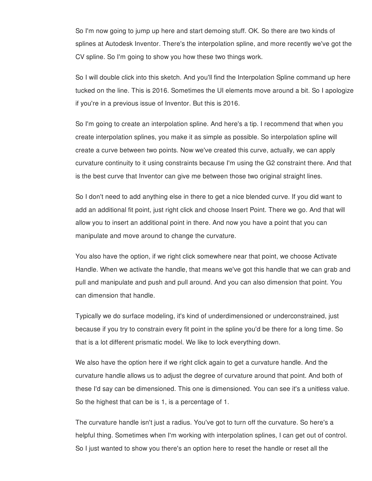So I'm now going to jump up here and start demoing stuff. OK. So there are two kinds of splines at Autodesk Inventor. There's the interpolation spline, and more recently we've got the CV spline. So I'm going to show you how these two things work.

So I will double click into this sketch. And you'll find the Interpolation Spline command up here tucked on the line. This is 2016. Sometimes the UI elements move around a bit. So I apologize if you're in a previous issue of Inventor. But this is 2016.

So I'm going to create an interpolation spline. And here's a tip. I recommend that when you create interpolation splines, you make it as simple as possible. So interpolation spline will create a curve between two points. Now we've created this curve, actually, we can apply curvature continuity to it using constraints because I'm using the G2 constraint there. And that is the best curve that Inventor can give me between those two original straight lines.

So I don't need to add anything else in there to get a nice blended curve. If you did want to add an additional fit point, just right click and choose Insert Point. There we go. And that will allow you to insert an additional point in there. And now you have a point that you can manipulate and move around to change the curvature.

You also have the option, if we right click somewhere near that point, we choose Activate Handle. When we activate the handle, that means we've got this handle that we can grab and pull and manipulate and push and pull around. And you can also dimension that point. You can dimension that handle.

Typically we do surface modeling, it's kind of underdimensioned or underconstrained, just because if you try to constrain every fit point in the spline you'd be there for a long time. So that is a lot different prismatic model. We like to lock everything down.

We also have the option here if we right click again to get a curvature handle. And the curvature handle allows us to adjust the degree of curvature around that point. And both of these I'd say can be dimensioned. This one is dimensioned. You can see it's a unitless value. So the highest that can be is 1, is a percentage of 1.

The curvature handle isn't just a radius. You've got to turn off the curvature. So here's a helpful thing. Sometimes when I'm working with interpolation splines, I can get out of control. So I just wanted to show you there's an option here to reset the handle or reset all the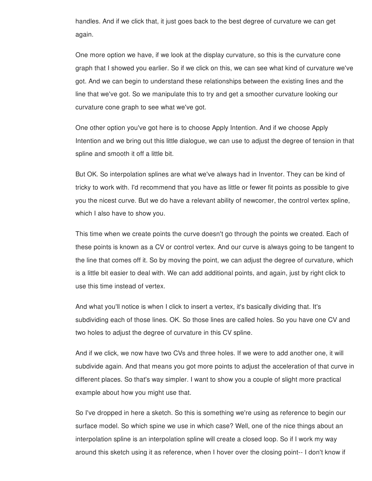handles. And if we click that, it just goes back to the best degree of curvature we can get again.

One more option we have, if we look at the display curvature, so this is the curvature cone graph that I showed you earlier. So if we click on this, we can see what kind of curvature we've got. And we can begin to understand these relationships between the existing lines and the line that we've got. So we manipulate this to try and get a smoother curvature looking our curvature cone graph to see what we've got.

One other option you've got here is to choose Apply Intention. And if we choose Apply Intention and we bring out this little dialogue, we can use to adjust the degree of tension in that spline and smooth it off a little bit.

But OK. So interpolation splines are what we've always had in Inventor. They can be kind of tricky to work with. I'd recommend that you have as little or fewer fit points as possible to give you the nicest curve. But we do have a relevant ability of newcomer, the control vertex spline, which I also have to show you.

This time when we create points the curve doesn't go through the points we created. Each of these points is known as a CV or control vertex. And our curve is always going to be tangent to the line that comes off it. So by moving the point, we can adjust the degree of curvature, which is a little bit easier to deal with. We can add additional points, and again, just by right click to use this time instead of vertex.

And what you'll notice is when I click to insert a vertex, it's basically dividing that. It's subdividing each of those lines. OK. So those lines are called holes. So you have one CV and two holes to adjust the degree of curvature in this CV spline.

And if we click, we now have two CVs and three holes. If we were to add another one, it will subdivide again. And that means you got more points to adjust the acceleration of that curve in different places. So that's way simpler. I want to show you a couple of slight more practical example about how you might use that.

So I've dropped in here a sketch. So this is something we're using as reference to begin our surface model. So which spine we use in which case? Well, one of the nice things about an interpolation spline is an interpolation spline will create a closed loop. So if I work my way around this sketch using it as reference, when I hover over the closing point-- I don't know if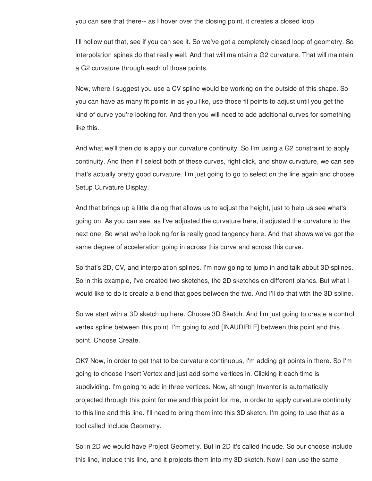you can see that there-- as I hover over the closing point, it creates a closed loop.

I'll hollow out that, see if you can see it. So we've got a completely closed loop of geometry. So interpolation spines do that really well. And that will maintain a G2 curvature. That will maintain a G2 curvature through each of those points.

Now, where I suggest you use a CV spline would be working on the outside of this shape. So you can have as many fit points in as you like, use those fit points to adjust until you get the kind of curve you're looking for. And then you will need to add additional curves for something like this.

And what we'll then do is apply our curvature continuity. So I'm using a G2 constraint to apply continuity. And then if I select both of these curves, right click, and show curvature, we can see that's actually pretty good curvature. I'm just going to go to select on the line again and choose Setup Curvature Display.

And that brings up a little dialog that allows us to adjust the height, just to help us see what's going on. As you can see, as I've adjusted the curvature here, it adjusted the curvature to the next one. So what we're looking for is really good tangency here. And that shows we've got the same degree of acceleration going in across this curve and across this curve.

So that's 2D, CV, and interpolation splines. I'm now going to jump in and talk about 3D splines. So in this example, I've created two sketches, the 2D sketches on different planes. But what I would like to do is create a blend that goes between the two. And I'll do that with the 3D spline.

So we start with a 3D sketch up here. Choose 3D Sketch. And I'm just going to create a control vertex spline between this point. I'm going to add [INAUDIBLE] between this point and this point. Choose Create.

OK? Now, in order to get that to be curvature continuous, I'm adding git points in there. So I'm going to choose Insert Vertex and just add some vertices in. Clicking it each time is subdividing. I'm going to add in three vertices. Now, although Inventor is automatically projected through this point for me and this point for me, in order to apply curvature continuity to this line and this line. I'll need to bring them into this 3D sketch. I'm going to use that as a tool called Include Geometry.

So in 2D we would have Project Geometry. But in 2D it's called Include. So our choose include this line, include this line, and it projects them into my 3D sketch. Now I can use the same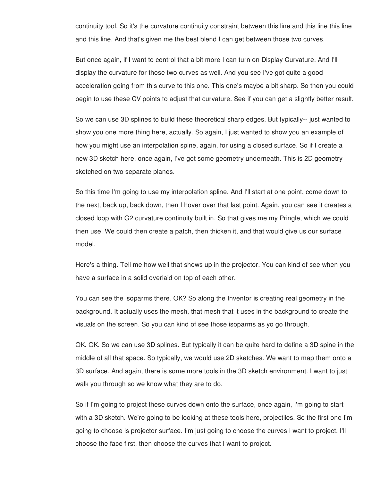continuity tool. So it's the curvature continuity constraint between this line and this line this line and this line. And that's given me the best blend I can get between those two curves.

But once again, if I want to control that a bit more I can turn on Display Curvature. And I'll display the curvature for those two curves as well. And you see I've got quite a good acceleration going from this curve to this one. This one's maybe a bit sharp. So then you could begin to use these CV points to adjust that curvature. See if you can get a slightly better result.

So we can use 3D splines to build these theoretical sharp edges. But typically-- just wanted to show you one more thing here, actually. So again, I just wanted to show you an example of how you might use an interpolation spine, again, for using a closed surface. So if I create a new 3D sketch here, once again, I've got some geometry underneath. This is 2D geometry sketched on two separate planes.

So this time I'm going to use my interpolation spline. And I'll start at one point, come down to the next, back up, back down, then I hover over that last point. Again, you can see it creates a closed loop with G2 curvature continuity built in. So that gives me my Pringle, which we could then use. We could then create a patch, then thicken it, and that would give us our surface model.

Here's a thing. Tell me how well that shows up in the projector. You can kind of see when you have a surface in a solid overlaid on top of each other.

You can see the isoparms there. OK? So along the Inventor is creating real geometry in the background. It actually uses the mesh, that mesh that it uses in the background to create the visuals on the screen. So you can kind of see those isoparms as yo go through.

OK. OK. So we can use 3D splines. But typically it can be quite hard to define a 3D spine in the middle of all that space. So typically, we would use 2D sketches. We want to map them onto a 3D surface. And again, there is some more tools in the 3D sketch environment. I want to just walk you through so we know what they are to do.

So if I'm going to project these curves down onto the surface, once again, I'm going to start with a 3D sketch. We're going to be looking at these tools here, projectiles. So the first one I'm going to choose is projector surface. I'm just going to choose the curves I want to project. I'll choose the face first, then choose the curves that I want to project.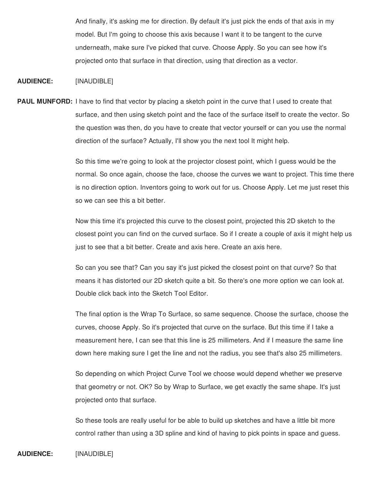And finally, it's asking me for direction. By default it's just pick the ends of that axis in my model. But I'm going to choose this axis because I want it to be tangent to the curve underneath, make sure I've picked that curve. Choose Apply. So you can see how it's projected onto that surface in that direction, using that direction as a vector.

## **AUDIENCE:** [INAUDIBLE]

**PAUL MUNFORD:** I have to find that vector by placing a sketch point in the curve that I used to create that surface, and then using sketch point and the face of the surface itself to create the vector. So the question was then, do you have to create that vector yourself or can you use the normal direction of the surface? Actually, I'll show you the next tool It might help.

> So this time we're going to look at the projector closest point, which I guess would be the normal. So once again, choose the face, choose the curves we want to project. This time there is no direction option. Inventors going to work out for us. Choose Apply. Let me just reset this so we can see this a bit better.

> Now this time it's projected this curve to the closest point, projected this 2D sketch to the closest point you can find on the curved surface. So if I create a couple of axis it might help us just to see that a bit better. Create and axis here. Create an axis here.

So can you see that? Can you say it's just picked the closest point on that curve? So that means it has distorted our 2D sketch quite a bit. So there's one more option we can look at. Double click back into the Sketch Tool Editor.

The final option is the Wrap To Surface, so same sequence. Choose the surface, choose the curves, choose Apply. So it's projected that curve on the surface. But this time if I take a measurement here, I can see that this line is 25 millimeters. And if I measure the same line down here making sure I get the line and not the radius, you see that's also 25 millimeters.

So depending on which Project Curve Tool we choose would depend whether we preserve that geometry or not. OK? So by Wrap to Surface, we get exactly the same shape. It's just projected onto that surface.

So these tools are really useful for be able to build up sketches and have a little bit more control rather than using a 3D spline and kind of having to pick points in space and guess.

## **AUDIENCE:** [INAUDIBLE]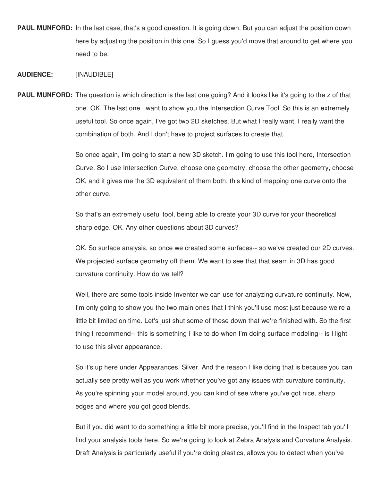**PAUL MUNFORD:** In the last case, that's a good question. It is going down. But you can adjust the position down here by adjusting the position in this one. So I guess you'd move that around to get where you need to be.

#### **AUDIENCE:** [INAUDIBLE]

**PAUL MUNFORD:** The question is which direction is the last one going? And it looks like it's going to the z of that one. OK. The last one I want to show you the Intersection Curve Tool. So this is an extremely useful tool. So once again, I've got two 2D sketches. But what I really want, I really want the combination of both. And I don't have to project surfaces to create that.

> So once again, I'm going to start a new 3D sketch. I'm going to use this tool here, Intersection Curve. So I use Intersection Curve, choose one geometry, choose the other geometry, choose OK, and it gives me the 3D equivalent of them both, this kind of mapping one curve onto the other curve.

So that's an extremely useful tool, being able to create your 3D curve for your theoretical sharp edge. OK. Any other questions about 3D curves?

OK. So surface analysis, so once we created some surfaces-- so we've created our 2D curves. We projected surface geometry off them. We want to see that that seam in 3D has good curvature continuity. How do we tell?

Well, there are some tools inside Inventor we can use for analyzing curvature continuity. Now, I'm only going to show you the two main ones that I think you'll use most just because we're a little bit limited on time. Let's just shut some of these down that we're finished with. So the first thing I recommend-- this is something I like to do when I'm doing surface modeling-- is I light to use this silver appearance.

So it's up here under Appearances, Silver. And the reason I like doing that is because you can actually see pretty well as you work whether you've got any issues with curvature continuity. As you're spinning your model around, you can kind of see where you've got nice, sharp edges and where you got good blends.

But if you did want to do something a little bit more precise, you'll find in the Inspect tab you'll find your analysis tools here. So we're going to look at Zebra Analysis and Curvature Analysis. Draft Analysis is particularly useful if you're doing plastics, allows you to detect when you've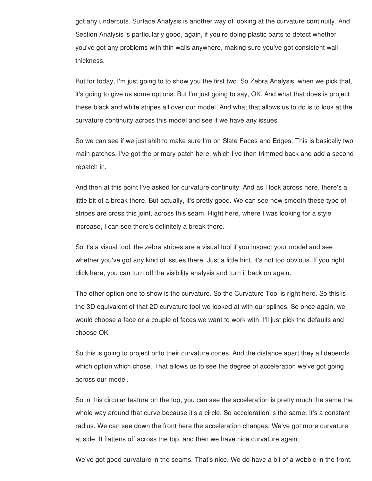got any undercuts. Surface Analysis is another way of looking at the curvature continuity. And Section Analysis is particularly good, again, if you're doing plastic parts to detect whether you've got any problems with thin walls anywhere, making sure you've got consistent wall thickness.

But for today, I'm just going to to show you the first two. So Zebra Analysis, when we pick that, it's going to give us some options. But I'm just going to say, OK. And what that does is project these black and white stripes all over our model. And what that allows us to do is to look at the curvature continuity across this model and see if we have any issues.

So we can see if we just shift to make sure I'm on Slate Faces and Edges. This is basically two main patches. I've got the primary patch here, which I've then trimmed back and add a second repatch in.

And then at this point I've asked for curvature continuity. And as I look across here, there's a little bit of a break there. But actually, it's pretty good. We can see how smooth these type of stripes are cross this joint, across this seam. Right here, where I was looking for a style increase, I can see there's definitely a break there.

So it's a visual tool, the zebra stripes are a visual tool if you inspect your model and see whether you've got any kind of issues there. Just a little hint, it's not too obvious. If you right click here, you can turn off the visibility analysis and turn it back on again.

The other option one to show is the curvature. So the Curvature Tool is right here. So this is the 3D equivalent of that 2D curvature tool we looked at with our splines. So once again, we would choose a face or a couple of faces we want to work with. I'll just pick the defaults and choose OK.

So this is going to project onto their curvature cones. And the distance apart they all depends which option which chose. That allows us to see the degree of acceleration we've got going across our model.

So in this circular feature on the top, you can see the acceleration is pretty much the same the whole way around that curve because it's a circle. So acceleration is the same. It's a constant radius. We can see down the front here the acceleration changes. We've got more curvature at side. It flattens off across the top, and then we have nice curvature again.

We've got good curvature in the seams. That's nice. We do have a bit of a wobble in the front.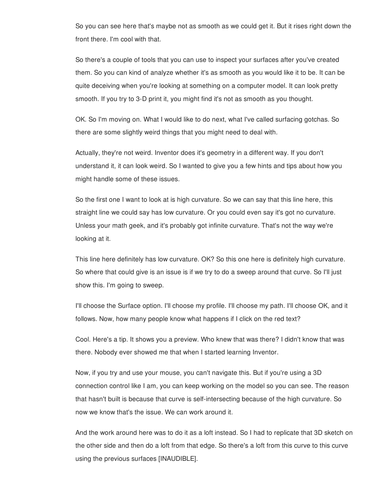So you can see here that's maybe not as smooth as we could get it. But it rises right down the front there. I'm cool with that.

So there's a couple of tools that you can use to inspect your surfaces after you've created them. So you can kind of analyze whether it's as smooth as you would like it to be. It can be quite deceiving when you're looking at something on a computer model. It can look pretty smooth. If you try to 3-D print it, you might find it's not as smooth as you thought.

OK. So I'm moving on. What I would like to do next, what I've called surfacing gotchas. So there are some slightly weird things that you might need to deal with.

Actually, they're not weird. Inventor does it's geometry in a different way. If you don't understand it, it can look weird. So I wanted to give you a few hints and tips about how you might handle some of these issues.

So the first one I want to look at is high curvature. So we can say that this line here, this straight line we could say has low curvature. Or you could even say it's got no curvature. Unless your math geek, and it's probably got infinite curvature. That's not the way we're looking at it.

This line here definitely has low curvature. OK? So this one here is definitely high curvature. So where that could give is an issue is if we try to do a sweep around that curve. So I'll just show this. I'm going to sweep.

I'll choose the Surface option. I'll choose my profile. I'll choose my path. I'll choose OK, and it follows. Now, how many people know what happens if I click on the red text?

Cool. Here's a tip. It shows you a preview. Who knew that was there? I didn't know that was there. Nobody ever showed me that when I started learning Inventor.

Now, if you try and use your mouse, you can't navigate this. But if you're using a 3D connection control like I am, you can keep working on the model so you can see. The reason that hasn't built is because that curve is self-intersecting because of the high curvature. So now we know that's the issue. We can work around it.

And the work around here was to do it as a loft instead. So I had to replicate that 3D sketch on the other side and then do a loft from that edge. So there's a loft from this curve to this curve using the previous surfaces [INAUDIBLE].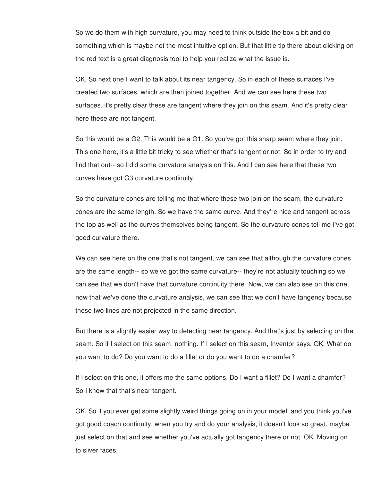So we do them with high curvature, you may need to think outside the box a bit and do something which is maybe not the most intuitive option. But that little tip there about clicking on the red text is a great diagnosis tool to help you realize what the issue is.

OK. So next one I want to talk about its near tangency. So in each of these surfaces I've created two surfaces, which are then joined together. And we can see here these two surfaces, it's pretty clear these are tangent where they join on this seam. And it's pretty clear here these are not tangent.

So this would be a G2. This would be a G1. So you've got this sharp seam where they join. This one here, it's a little bit tricky to see whether that's tangent or not. So in order to try and find that out-- so I did some curvature analysis on this. And I can see here that these two curves have got G3 curvature continuity.

So the curvature cones are telling me that where these two join on the seam, the curvature cones are the same length. So we have the same curve. And they're nice and tangent across the top as well as the curves themselves being tangent. So the curvature cones tell me I've got good curvature there.

We can see here on the one that's not tangent, we can see that although the curvature cones are the same length-- so we've got the same curvature-- they're not actually touching so we can see that we don't have that curvature continuity there. Now, we can also see on this one, now that we've done the curvature analysis, we can see that we don't have tangency because these two lines are not projected in the same direction.

But there is a slightly easier way to detecting near tangency. And that's just by selecting on the seam. So if I select on this seam, nothing. If I select on this seam, Inventor says, OK. What do you want to do? Do you want to do a fillet or do you want to do a chamfer?

If I select on this one, it offers me the same options. Do I want a fillet? Do I want a chamfer? So I know that that's near tangent.

OK. So if you ever get some slightly weird things going on in your model, and you think you've got good coach continuity, when you try and do your analysis, it doesn't look so great, maybe just select on that and see whether you've actually got tangency there or not. OK. Moving on to sliver faces.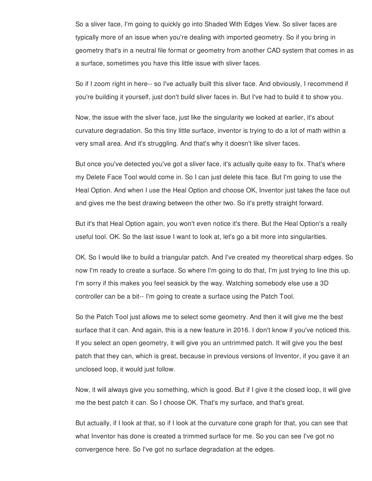So a sliver face, I'm going to quickly go into Shaded With Edges View. So sliver faces are typically more of an issue when you're dealing with imported geometry. So if you bring in geometry that's in a neutral file format or geometry from another CAD system that comes in as a surface, sometimes you have this little issue with sliver faces.

So if I zoom right in here-- so I've actually built this sliver face. And obviously, I recommend if you're building it yourself, just don't build sliver faces in. But I've had to build it to show you.

Now, the issue with the sliver face, just like the singularity we looked at earlier, it's about curvature degradation. So this tiny little surface, inventor is trying to do a lot of math within a very small area. And it's struggling. And that's why it doesn't like sliver faces.

But once you've detected you've got a sliver face, it's actually quite easy to fix. That's where my Delete Face Tool would come in. So I can just delete this face. But I'm going to use the Heal Option. And when I use the Heal Option and choose OK, Inventor just takes the face out and gives me the best drawing between the other two. So it's pretty straight forward.

But it's that Heal Option again, you won't even notice it's there. But the Heal Option's a really useful tool. OK. So the last issue I want to look at, let's go a bit more into singularities.

OK. So I would like to build a triangular patch. And I've created my theoretical sharp edges. So now I'm ready to create a surface. So where I'm going to do that, I'm just trying to line this up. I'm sorry if this makes you feel seasick by the way. Watching somebody else use a 3D controller can be a bit-- I'm going to create a surface using the Patch Tool.

So the Patch Tool just allows me to select some geometry. And then it will give me the best surface that it can. And again, this is a new feature in 2016. I don't know if you've noticed this. If you select an open geometry, it will give you an untrimmed patch. It will give you the best patch that they can, which is great, because in previous versions of Inventor, if you gave it an unclosed loop, it would just follow.

Now, it will always give you something, which is good. But if I give it the closed loop, it will give me the best patch it can. So I choose OK. That's my surface, and that's great.

But actually, if I look at that, so if I look at the curvature cone graph for that, you can see that what Inventor has done is created a trimmed surface for me. So you can see I've got no convergence here. So I've got no surface degradation at the edges.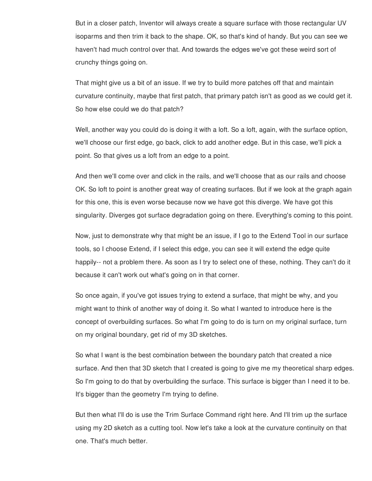But in a closer patch, Inventor will always create a square surface with those rectangular UV isoparms and then trim it back to the shape. OK, so that's kind of handy. But you can see we haven't had much control over that. And towards the edges we've got these weird sort of crunchy things going on.

That might give us a bit of an issue. If we try to build more patches off that and maintain curvature continuity, maybe that first patch, that primary patch isn't as good as we could get it. So how else could we do that patch?

Well, another way you could do is doing it with a loft. So a loft, again, with the surface option, we'll choose our first edge, go back, click to add another edge. But in this case, we'll pick a point. So that gives us a loft from an edge to a point.

And then we'll come over and click in the rails, and we'll choose that as our rails and choose OK. So loft to point is another great way of creating surfaces. But if we look at the graph again for this one, this is even worse because now we have got this diverge. We have got this singularity. Diverges got surface degradation going on there. Everything's coming to this point.

Now, just to demonstrate why that might be an issue, if I go to the Extend Tool in our surface tools, so I choose Extend, if I select this edge, you can see it will extend the edge quite happily-- not a problem there. As soon as I try to select one of these, nothing. They can't do it because it can't work out what's going on in that corner.

So once again, if you've got issues trying to extend a surface, that might be why, and you might want to think of another way of doing it. So what I wanted to introduce here is the concept of overbuilding surfaces. So what I'm going to do is turn on my original surface, turn on my original boundary, get rid of my 3D sketches.

So what I want is the best combination between the boundary patch that created a nice surface. And then that 3D sketch that I created is going to give me my theoretical sharp edges. So I'm going to do that by overbuilding the surface. This surface is bigger than I need it to be. It's bigger than the geometry I'm trying to define.

But then what I'll do is use the Trim Surface Command right here. And I'll trim up the surface using my 2D sketch as a cutting tool. Now let's take a look at the curvature continuity on that one. That's much better.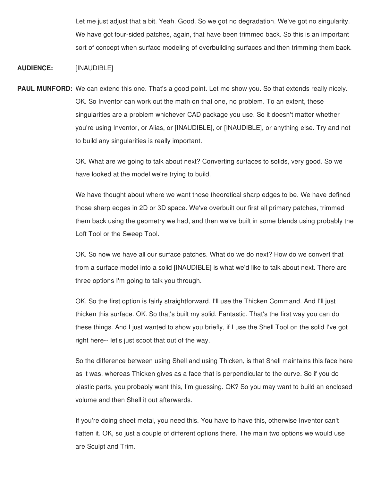Let me just adjust that a bit. Yeah. Good. So we got no degradation. We've got no singularity. We have got four-sided patches, again, that have been trimmed back. So this is an important sort of concept when surface modeling of overbuilding surfaces and then trimming them back.

## **AUDIENCE:** [INAUDIBLE]

**PAUL MUNFORD:** We can extend this one. That's a good point. Let me show you. So that extends really nicely. OK. So Inventor can work out the math on that one, no problem. To an extent, these singularities are a problem whichever CAD package you use. So it doesn't matter whether you're using Inventor, or Alias, or [INAUDIBLE], or [INAUDIBLE], or anything else. Try and not to build any singularities is really important.

> OK. What are we going to talk about next? Converting surfaces to solids, very good. So we have looked at the model we're trying to build.

We have thought about where we want those theoretical sharp edges to be. We have defined those sharp edges in 2D or 3D space. We've overbuilt our first all primary patches, trimmed them back using the geometry we had, and then we've built in some blends using probably the Loft Tool or the Sweep Tool.

OK. So now we have all our surface patches. What do we do next? How do we convert that from a surface model into a solid [INAUDIBLE] is what we'd like to talk about next. There are three options I'm going to talk you through.

OK. So the first option is fairly straightforward. I'll use the Thicken Command. And I'll just thicken this surface. OK. So that's built my solid. Fantastic. That's the first way you can do these things. And I just wanted to show you briefly, if I use the Shell Tool on the solid I've got right here-- let's just scoot that out of the way.

So the difference between using Shell and using Thicken, is that Shell maintains this face here as it was, whereas Thicken gives as a face that is perpendicular to the curve. So if you do plastic parts, you probably want this, I'm guessing. OK? So you may want to build an enclosed volume and then Shell it out afterwards.

If you're doing sheet metal, you need this. You have to have this, otherwise Inventor can't flatten it. OK, so just a couple of different options there. The main two options we would use are Sculpt and Trim.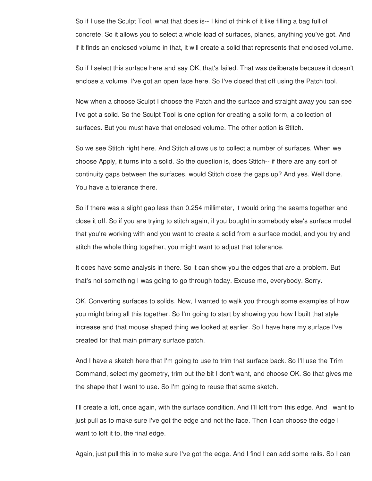So if I use the Sculpt Tool, what that does is-- I kind of think of it like filling a bag full of concrete. So it allows you to select a whole load of surfaces, planes, anything you've got. And if it finds an enclosed volume in that, it will create a solid that represents that enclosed volume.

So if I select this surface here and say OK, that's failed. That was deliberate because it doesn't enclose a volume. I've got an open face here. So I've closed that off using the Patch tool.

Now when a choose Sculpt I choose the Patch and the surface and straight away you can see I've got a solid. So the Sculpt Tool is one option for creating a solid form, a collection of surfaces. But you must have that enclosed volume. The other option is Stitch.

So we see Stitch right here. And Stitch allows us to collect a number of surfaces. When we choose Apply, it turns into a solid. So the question is, does Stitch-- if there are any sort of continuity gaps between the surfaces, would Stitch close the gaps up? And yes. Well done. You have a tolerance there.

So if there was a slight gap less than 0.254 millimeter, it would bring the seams together and close it off. So if you are trying to stitch again, if you bought in somebody else's surface model that you're working with and you want to create a solid from a surface model, and you try and stitch the whole thing together, you might want to adjust that tolerance.

It does have some analysis in there. So it can show you the edges that are a problem. But that's not something I was going to go through today. Excuse me, everybody. Sorry.

OK. Converting surfaces to solids. Now, I wanted to walk you through some examples of how you might bring all this together. So I'm going to start by showing you how I built that style increase and that mouse shaped thing we looked at earlier. So I have here my surface I've created for that main primary surface patch.

And I have a sketch here that I'm going to use to trim that surface back. So I'll use the Trim Command, select my geometry, trim out the bit I don't want, and choose OK. So that gives me the shape that I want to use. So I'm going to reuse that same sketch.

I'll create a loft, once again, with the surface condition. And I'll loft from this edge. And I want to just pull as to make sure I've got the edge and not the face. Then I can choose the edge I want to loft it to, the final edge.

Again, just pull this in to make sure I've got the edge. And I find I can add some rails. So I can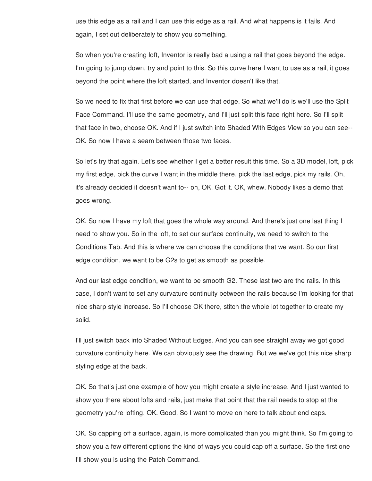use this edge as a rail and I can use this edge as a rail. And what happens is it fails. And again, I set out deliberately to show you something.

So when you're creating loft, Inventor is really bad a using a rail that goes beyond the edge. I'm going to jump down, try and point to this. So this curve here I want to use as a rail, it goes beyond the point where the loft started, and Inventor doesn't like that.

So we need to fix that first before we can use that edge. So what we'll do is we'll use the Split Face Command. I'll use the same geometry, and I'll just split this face right here. So I'll split that face in two, choose OK. And if I just switch into Shaded With Edges View so you can see-- OK. So now I have a seam between those two faces.

So let's try that again. Let's see whether I get a better result this time. So a 3D model, loft, pick my first edge, pick the curve I want in the middle there, pick the last edge, pick my rails. Oh, it's already decided it doesn't want to-- oh, OK. Got it. OK, whew. Nobody likes a demo that goes wrong.

OK. So now I have my loft that goes the whole way around. And there's just one last thing I need to show you. So in the loft, to set our surface continuity, we need to switch to the Conditions Tab. And this is where we can choose the conditions that we want. So our first edge condition, we want to be G2s to get as smooth as possible.

And our last edge condition, we want to be smooth G2. These last two are the rails. In this case, I don't want to set any curvature continuity between the rails because I'm looking for that nice sharp style increase. So I'll choose OK there, stitch the whole lot together to create my solid.

I'll just switch back into Shaded Without Edges. And you can see straight away we got good curvature continuity here. We can obviously see the drawing. But we we've got this nice sharp styling edge at the back.

OK. So that's just one example of how you might create a style increase. And I just wanted to show you there about lofts and rails, just make that point that the rail needs to stop at the geometry you're lofting. OK. Good. So I want to move on here to talk about end caps.

OK. So capping off a surface, again, is more complicated than you might think. So I'm going to show you a few different options the kind of ways you could cap off a surface. So the first one I'll show you is using the Patch Command.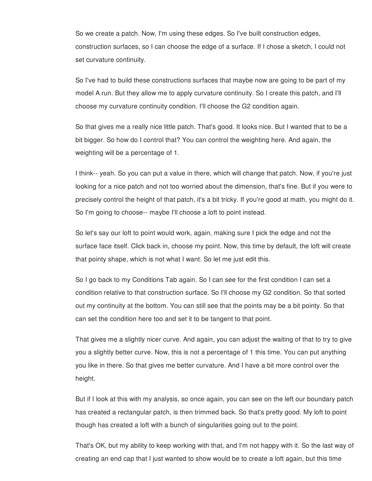So we create a patch. Now, I'm using these edges. So I've built construction edges, construction surfaces, so I can choose the edge of a surface. If I chose a sketch, I could not set curvature continuity.

So I've had to build these constructions surfaces that maybe now are going to be part of my model A run. But they allow me to apply curvature continuity. So I create this patch, and I'll choose my curvature continuity condition. I'll choose the G2 condition again.

So that gives me a really nice little patch. That's good. It looks nice. But I wanted that to be a bit bigger. So how do I control that? You can control the weighting here. And again, the weighting will be a percentage of 1.

I think-- yeah. So you can put a value in there, which will change that patch. Now, if you're just looking for a nice patch and not too worried about the dimension, that's fine. But if you were to precisely control the height of that patch, it's a bit tricky. If you're good at math, you might do it. So I'm going to choose-- maybe I'll choose a loft to point instead.

So let's say our loft to point would work, again, making sure I pick the edge and not the surface face itself. Click back in, choose my point. Now, this time by default, the loft will create that pointy shape, which is not what I want. So let me just edit this.

So I go back to my Conditions Tab again. So I can see for the first condition I can set a condition relative to that construction surface. So I'll choose my G2 condition. So that sorted out my continuity at the bottom. You can still see that the points may be a bit pointy. So that can set the condition here too and set it to be tangent to that point.

That gives me a slightly nicer curve. And again, you can adjust the waiting of that to try to give you a slightly better curve. Now, this is not a percentage of 1 this time. You can put anything you like in there. So that gives me better curvature. And I have a bit more control over the height.

But if I look at this with my analysis, so once again, you can see on the left our boundary patch has created a rectangular patch, is then trimmed back. So that's pretty good. My loft to point though has created a loft with a bunch of singularities going out to the point.

That's OK, but my ability to keep working with that, and I'm not happy with it. So the last way of creating an end cap that I just wanted to show would be to create a loft again, but this time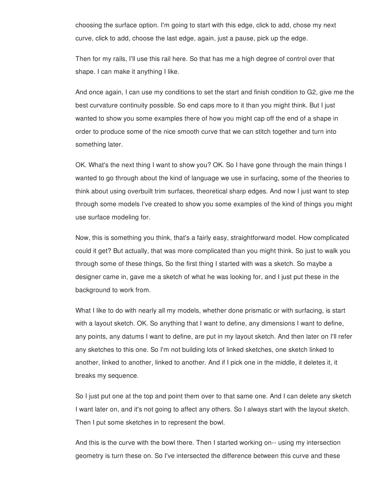choosing the surface option. I'm going to start with this edge, click to add, chose my next curve, click to add, choose the last edge, again, just a pause, pick up the edge.

Then for my rails, I'll use this rail here. So that has me a high degree of control over that shape. I can make it anything I like.

And once again, I can use my conditions to set the start and finish condition to G2, give me the best curvature continuity possible. So end caps more to it than you might think. But I just wanted to show you some examples there of how you might cap off the end of a shape in order to produce some of the nice smooth curve that we can stitch together and turn into something later.

OK. What's the next thing I want to show you? OK. So I have gone through the main things I wanted to go through about the kind of language we use in surfacing, some of the theories to think about using overbuilt trim surfaces, theoretical sharp edges. And now I just want to step through some models I've created to show you some examples of the kind of things you might use surface modeling for.

Now, this is something you think, that's a fairly easy, straightforward model. How complicated could it get? But actually, that was more complicated than you might think. So just to walk you through some of these things, So the first thing I started with was a sketch. So maybe a designer came in, gave me a sketch of what he was looking for, and I just put these in the background to work from.

What I like to do with nearly all my models, whether done prismatic or with surfacing, is start with a layout sketch. OK. So anything that I want to define, any dimensions I want to define, any points, any datums I want to define, are put in my layout sketch. And then later on I'll refer any sketches to this one. So I'm not building lots of linked sketches, one sketch linked to another, linked to another, linked to another. And if I pick one in the middle, it deletes it, it breaks my sequence.

So I just put one at the top and point them over to that same one. And I can delete any sketch I want later on, and it's not going to affect any others. So I always start with the layout sketch. Then I put some sketches in to represent the bowl.

And this is the curve with the bowl there. Then I started working on-- using my intersection geometry is turn these on. So I've intersected the difference between this curve and these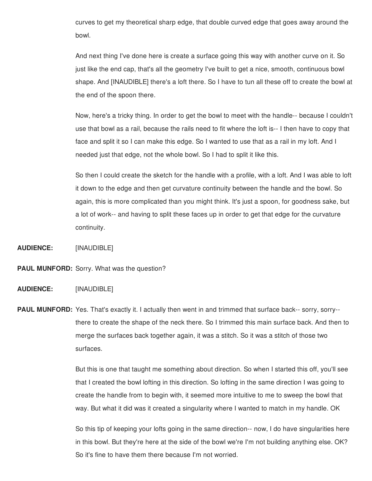curves to get my theoretical sharp edge, that double curved edge that goes away around the bowl.

And next thing I've done here is create a surface going this way with another curve on it. So just like the end cap, that's all the geometry I've built to get a nice, smooth, continuous bowl shape. And [INAUDIBLE] there's a loft there. So I have to tun all these off to create the bowl at the end of the spoon there.

Now, here's a tricky thing. In order to get the bowl to meet with the handle-- because I couldn't use that bowl as a rail, because the rails need to fit where the loft is-- I then have to copy that face and split it so I can make this edge. So I wanted to use that as a rail in my loft. And I needed just that edge, not the whole bowl. So I had to split it like this.

So then I could create the sketch for the handle with a profile, with a loft. And I was able to loft it down to the edge and then get curvature continuity between the handle and the bowl. So again, this is more complicated than you might think. It's just a spoon, for goodness sake, but a lot of work-- and having to split these faces up in order to get that edge for the curvature continuity.

**AUDIENCE:** [INAUDIBLE]

**PAUL MUNFORD:** Sorry. What was the question?

#### **AUDIENCE:** [INAUDIBLE]

**PAUL MUNFORD:** Yes. That's exactly it. I actually then went in and trimmed that surface back-- sorry, sorry- there to create the shape of the neck there. So I trimmed this main surface back. And then to merge the surfaces back together again, it was a stitch. So it was a stitch of those two surfaces.

> But this is one that taught me something about direction. So when I started this off, you'll see that I created the bowl lofting in this direction. So lofting in the same direction I was going to create the handle from to begin with, it seemed more intuitive to me to sweep the bowl that way. But what it did was it created a singularity where I wanted to match in my handle. OK

> So this tip of keeping your lofts going in the same direction-- now, I do have singularities here in this bowl. But they're here at the side of the bowl we're I'm not building anything else. OK? So it's fine to have them there because I'm not worried.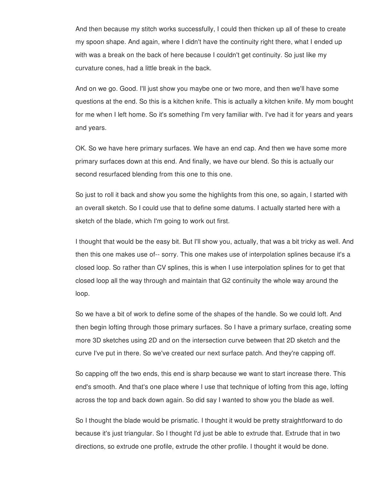And then because my stitch works successfully, I could then thicken up all of these to create my spoon shape. And again, where I didn't have the continuity right there, what I ended up with was a break on the back of here because I couldn't get continuity. So just like my curvature cones, had a little break in the back.

And on we go. Good. I'll just show you maybe one or two more, and then we'll have some questions at the end. So this is a kitchen knife. This is actually a kitchen knife. My mom bought for me when I left home. So it's something I'm very familiar with. I've had it for years and years and years.

OK. So we have here primary surfaces. We have an end cap. And then we have some more primary surfaces down at this end. And finally, we have our blend. So this is actually our second resurfaced blending from this one to this one.

So just to roll it back and show you some the highlights from this one, so again, I started with an overall sketch. So I could use that to define some datums. I actually started here with a sketch of the blade, which I'm going to work out first.

I thought that would be the easy bit. But I'll show you, actually, that was a bit tricky as well. And then this one makes use of-- sorry. This one makes use of interpolation splines because it's a closed loop. So rather than CV splines, this is when I use interpolation splines for to get that closed loop all the way through and maintain that G2 continuity the whole way around the loop.

So we have a bit of work to define some of the shapes of the handle. So we could loft. And then begin lofting through those primary surfaces. So I have a primary surface, creating some more 3D sketches using 2D and on the intersection curve between that 2D sketch and the curve I've put in there. So we've created our next surface patch. And they're capping off.

So capping off the two ends, this end is sharp because we want to start increase there. This end's smooth. And that's one place where I use that technique of lofting from this age, lofting across the top and back down again. So did say I wanted to show you the blade as well.

So I thought the blade would be prismatic. I thought it would be pretty straightforward to do because it's just triangular. So I thought I'd just be able to extrude that. Extrude that in two directions, so extrude one profile, extrude the other profile. I thought it would be done.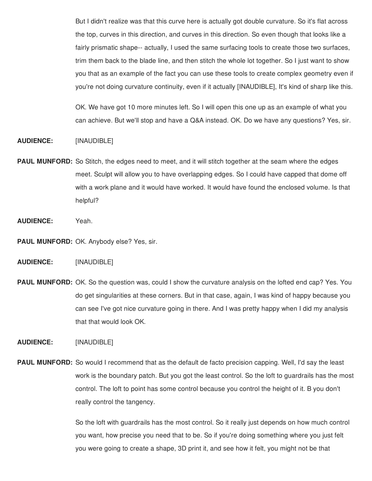But I didn't realize was that this curve here is actually got double curvature. So it's flat across the top, curves in this direction, and curves in this direction. So even though that looks like a fairly prismatic shape-- actually, I used the same surfacing tools to create those two surfaces, trim them back to the blade line, and then stitch the whole lot together. So I just want to show you that as an example of the fact you can use these tools to create complex geometry even if you're not doing curvature continuity, even if it actually [INAUDIBLE], It's kind of sharp like this.

OK. We have got 10 more minutes left. So I will open this one up as an example of what you can achieve. But we'll stop and have a Q&A instead. OK. Do we have any questions? Yes, sir.

## **AUDIENCE:** [INAUDIBLE]

- **PAUL MUNFORD:** So Stitch, the edges need to meet, and it will stitch together at the seam where the edges meet. Sculpt will allow you to have overlapping edges. So I could have capped that dome off with a work plane and it would have worked. It would have found the enclosed volume. Is that helpful?
- **AUDIENCE:** Yeah.

**PAUL MUNFORD:** OK. Anybody else? Yes, sir.

# **AUDIENCE:** [INAUDIBLE]

**PAUL MUNFORD:** OK. So the question was, could I show the curvature analysis on the lofted end cap? Yes. You do get singularities at these corners. But in that case, again, I was kind of happy because you can see I've got nice curvature going in there. And I was pretty happy when I did my analysis that that would look OK.

**AUDIENCE:** [INAUDIBLE]

**PAUL MUNFORD:** So would I recommend that as the default de facto precision capping. Well, I'd say the least work is the boundary patch. But you got the least control. So the loft to guardrails has the most control. The loft to point has some control because you control the height of it. B you don't really control the tangency.

> So the loft with guardrails has the most control. So it really just depends on how much control you want, how precise you need that to be. So if you're doing something where you just felt you were going to create a shape, 3D print it, and see how it felt, you might not be that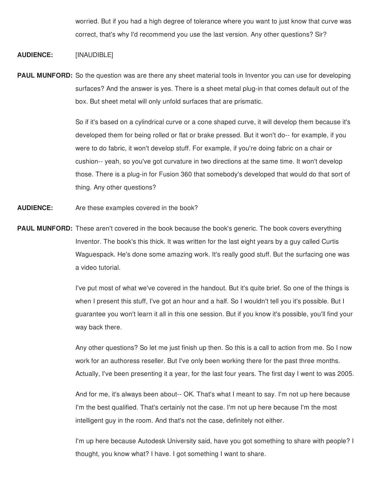worried. But if you had a high degree of tolerance where you want to just know that curve was correct, that's why I'd recommend you use the last version. Any other questions? Sir?

### **AUDIENCE:** [INAUDIBLE]

**PAUL MUNFORD:** So the question was are there any sheet material tools in Inventor you can use for developing surfaces? And the answer is yes. There is a sheet metal plug-in that comes default out of the box. But sheet metal will only unfold surfaces that are prismatic.

> So if it's based on a cylindrical curve or a cone shaped curve, it will develop them because it's developed them for being rolled or flat or brake pressed. But it won't do-- for example, if you were to do fabric, it won't develop stuff. For example, if you're doing fabric on a chair or cushion-- yeah, so you've got curvature in two directions at the same time. It won't develop those. There is a plug-in for Fusion 360 that somebody's developed that would do that sort of thing. Any other questions?

- **AUDIENCE:** Are these examples covered in the book?
- **PAUL MUNFORD:** These aren't covered in the book because the book's generic. The book covers everything Inventor. The book's this thick. It was written for the last eight years by a guy called Curtis Waguespack. He's done some amazing work. It's really good stuff. But the surfacing one was a video tutorial.

I've put most of what we've covered in the handout. But it's quite brief. So one of the things is when I present this stuff, I've got an hour and a half. So I wouldn't tell you it's possible. But I guarantee you won't learn it all in this one session. But if you know it's possible, you'll find your way back there.

Any other questions? So let me just finish up then. So this is a call to action from me. So I now work for an authoress reseller. But I've only been working there for the past three months. Actually, I've been presenting it a year, for the last four years. The first day I went to was 2005.

And for me, it's always been about-- OK. That's what I meant to say. I'm not up here because I'm the best qualified. That's certainly not the case. I'm not up here because I'm the most intelligent guy in the room. And that's not the case, definitely not either.

I'm up here because Autodesk University said, have you got something to share with people? I thought, you know what? I have. I got something I want to share.